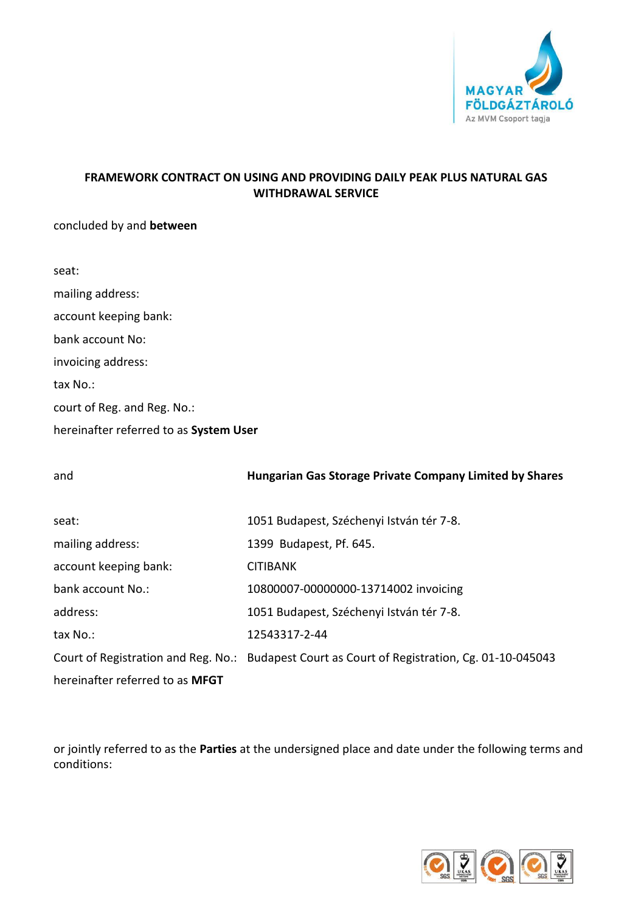

# **FRAMEWORK CONTRACT ON USING AND PROVIDING DAILY PEAK PLUS NATURAL GAS WITHDRAWAL SERVICE**

concluded by and **between**

| seat:                       |
|-----------------------------|
| mailing address:            |
| account keeping bank:       |
| hank account No:            |
| invoicing address:          |
| tax No.:                    |
| court of Reg. and Reg. No.: |
|                             |

hereinafter referred to as **System User**

| and                             | Hungarian Gas Storage Private Company Limited by Shares                                       |
|---------------------------------|-----------------------------------------------------------------------------------------------|
|                                 |                                                                                               |
| seat:                           | 1051 Budapest, Széchenyi István tér 7-8.                                                      |
| mailing address:                | 1399 Budapest, Pf. 645.                                                                       |
| account keeping bank:           | <b>CITIBANK</b>                                                                               |
| bank account No.:               | 10800007-00000000-13714002 invoicing                                                          |
| address:                        | 1051 Budapest, Széchenyi István tér 7-8.                                                      |
| tax No.:                        | 12543317-2-44                                                                                 |
|                                 | Court of Registration and Reg. No.: Budapest Court as Court of Registration, Cg. 01-10-045043 |
| hereinafter referred to as MFGT |                                                                                               |

or jointly referred to as the **Parties** at the undersigned place and date under the following terms and conditions:

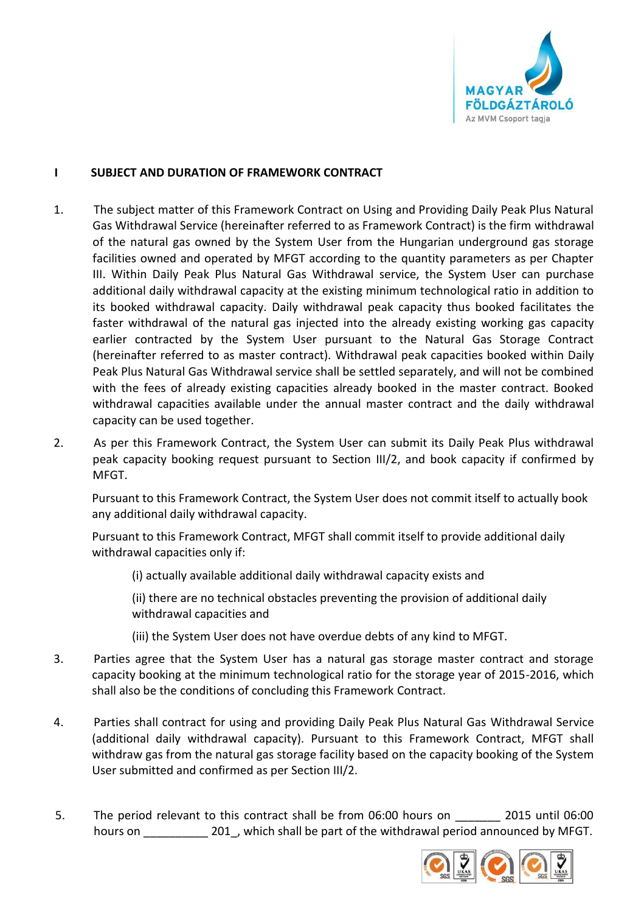

### **I SUBJECT AND DURATION OF FRAMEWORK CONTRACT**

- 1. The subject matter of this Framework Contract on Using and Providing Daily Peak Plus Natural Gas Withdrawal Service (hereinafter referred to as Framework Contract) is the firm withdrawal of the natural gas owned by the System User from the Hungarian underground gas storage facilities owned and operated by MFGT according to the quantity parameters as per Chapter III. Within Daily Peak Plus Natural Gas Withdrawal service, the System User can purchase additional daily withdrawal capacity at the existing minimum technological ratio in addition to its booked withdrawal capacity. Daily withdrawal peak capacity thus booked facilitates the faster withdrawal of the natural gas injected into the already existing working gas capacity earlier contracted by the System User pursuant to the Natural Gas Storage Contract (hereinafter referred to as master contract). Withdrawal peak capacities booked within Daily Peak Plus Natural Gas Withdrawal service shall be settled separately, and will not be combined with the fees of already existing capacities already booked in the master contract. Booked withdrawal capacities available under the annual master contract and the daily withdrawal capacity can be used together.
- 2. As per this Framework Contract, the System User can submit its Daily Peak Plus withdrawal peak capacity booking request pursuant to Section III/2, and book capacity if confirmed by MFGT.

Pursuant to this Framework Contract, the System User does not commit itself to actually book any additional daily withdrawal capacity.

Pursuant to this Framework Contract, MFGT shall commit itself to provide additional daily withdrawal capacities only if:

(i) actually available additional daily withdrawal capacity exists and

(ii) there are no technical obstacles preventing the provision of additional daily withdrawal capacities and

(iii) the System User does not have overdue debts of any kind to MFGT.

- 3. Parties agree that the System User has a natural gas storage master contract and storage capacity booking at the minimum technological ratio for the storage year of 2015-2016, which shall also be the conditions of concluding this Framework Contract.
- 4. Parties shall contract for using and providing Daily Peak Plus Natural Gas Withdrawal Service (additional daily withdrawal capacity). Pursuant to this Framework Contract, MFGT shall withdraw gas from the natural gas storage facility based on the capacity booking of the System User submitted and confirmed as per Section III/2.
- 5. The period relevant to this contract shall be from 06:00 hours on 2015 until 06:00 hours on **201**, which shall be part of the withdrawal period announced by MFGT.

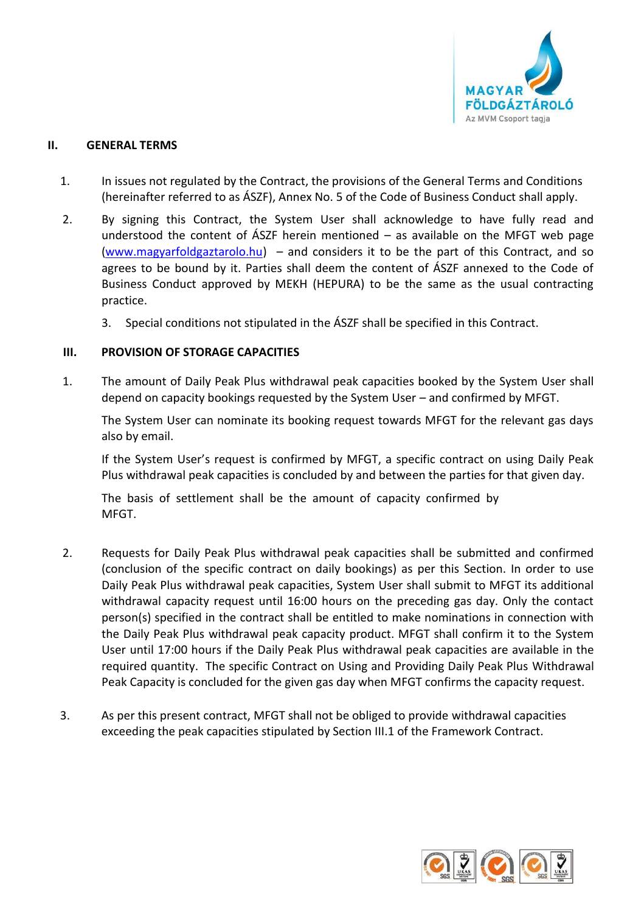

#### **II. GENERAL TERMS**

- 1. In issues not regulated by the Contract, the provisions of the General Terms and Conditions (hereinafter referred to as ÁSZF), Annex No. 5 of the Code of Business Conduct shall apply.
- 2. By signing this Contract, the System User shall acknowledge to have fully read and understood the content of  $\angle$ ASZF herein mentioned – as available on the MFGT web page [\(www.magyarfoldgaztarolo.hu\)](http://www.eon-foldgaz-storage.com/) – and considers it to be the part of this Contract, and so agrees to be bound by it. Parties shall deem the content of ÁSZF annexed to the Code of Business Conduct approved by MEKH (HEPURA) to be the same as the usual contracting practice.
	- 3. Special conditions not stipulated in the ÁSZF shall be specified in this Contract.

## **III. PROVISION OF STORAGE CAPACITIES**

1. The amount of Daily Peak Plus withdrawal peak capacities booked by the System User shall depend on capacity bookings requested by the System User – and confirmed by MFGT.

The System User can nominate its booking request towards MFGT for the relevant gas days also by email.

If the System User's request is confirmed by MFGT, a specific contract on using Daily Peak Plus withdrawal peak capacities is concluded by and between the parties for that given day.

The basis of settlement shall be the amount of capacity confirmed by MFGT.

- 2. Requests for Daily Peak Plus withdrawal peak capacities shall be submitted and confirmed (conclusion of the specific contract on daily bookings) as per this Section. In order to use Daily Peak Plus withdrawal peak capacities, System User shall submit to MFGT its additional withdrawal capacity request until 16:00 hours on the preceding gas day. Only the contact person(s) specified in the contract shall be entitled to make nominations in connection with the Daily Peak Plus withdrawal peak capacity product. MFGT shall confirm it to the System User until 17:00 hours if the Daily Peak Plus withdrawal peak capacities are available in the required quantity. The specific Contract on Using and Providing Daily Peak Plus Withdrawal Peak Capacity is concluded for the given gas day when MFGT confirms the capacity request.
- 3. As per this present contract, MFGT shall not be obliged to provide withdrawal capacities exceeding the peak capacities stipulated by Section III.1 of the Framework Contract.

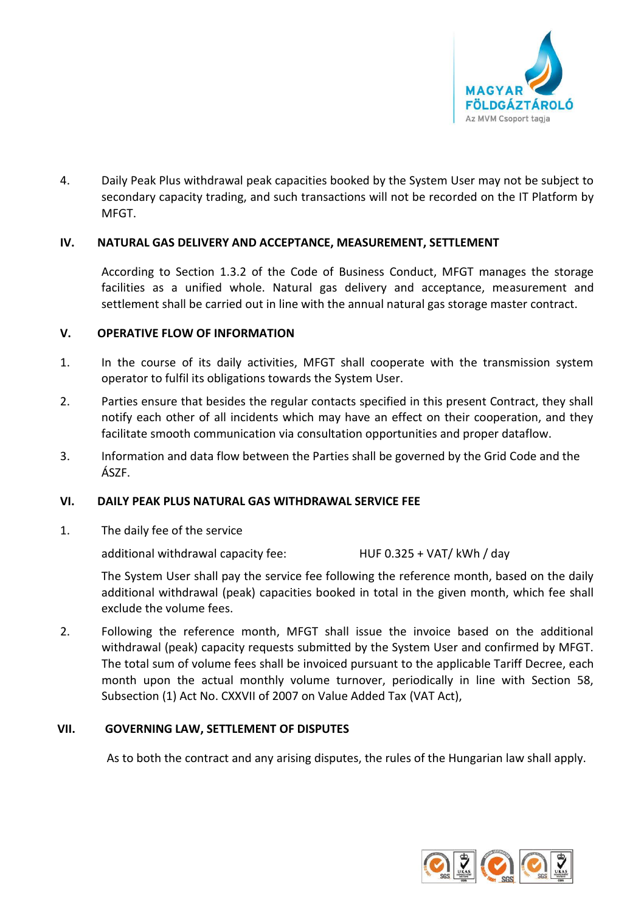

4. Daily Peak Plus withdrawal peak capacities booked by the System User may not be subject to secondary capacity trading, and such transactions will not be recorded on the IT Platform by MFGT.

#### **IV. NATURAL GAS DELIVERY AND ACCEPTANCE, MEASUREMENT, SETTLEMENT**

According to Section 1.3.2 of the Code of Business Conduct, MFGT manages the storage facilities as a unified whole. Natural gas delivery and acceptance, measurement and settlement shall be carried out in line with the annual natural gas storage master contract.

#### **V. OPERATIVE FLOW OF INFORMATION**

- 1. In the course of its daily activities, MFGT shall cooperate with the transmission system operator to fulfil its obligations towards the System User.
- 2. Parties ensure that besides the regular contacts specified in this present Contract, they shall notify each other of all incidents which may have an effect on their cooperation, and they facilitate smooth communication via consultation opportunities and proper dataflow.
- 3. Information and data flow between the Parties shall be governed by the Grid Code and the ÁSZF.

#### **VI. DAILY PEAK PLUS NATURAL GAS WITHDRAWAL SERVICE FEE**

1. The daily fee of the service

additional withdrawal capacity fee: HUF 0.325 + VAT/ kWh / day

The System User shall pay the service fee following the reference month, based on the daily additional withdrawal (peak) capacities booked in total in the given month, which fee shall exclude the volume fees.

2. Following the reference month, MFGT shall issue the invoice based on the additional withdrawal (peak) capacity requests submitted by the System User and confirmed by MFGT. The total sum of volume fees shall be invoiced pursuant to the applicable Tariff Decree, each month upon the actual monthly volume turnover, periodically in line with Section 58, Subsection (1) Act No. CXXVII of 2007 on Value Added Tax (VAT Act),

### **VII. GOVERNING LAW, SETTLEMENT OF DISPUTES**

As to both the contract and any arising disputes, the rules of the Hungarian law shall apply.

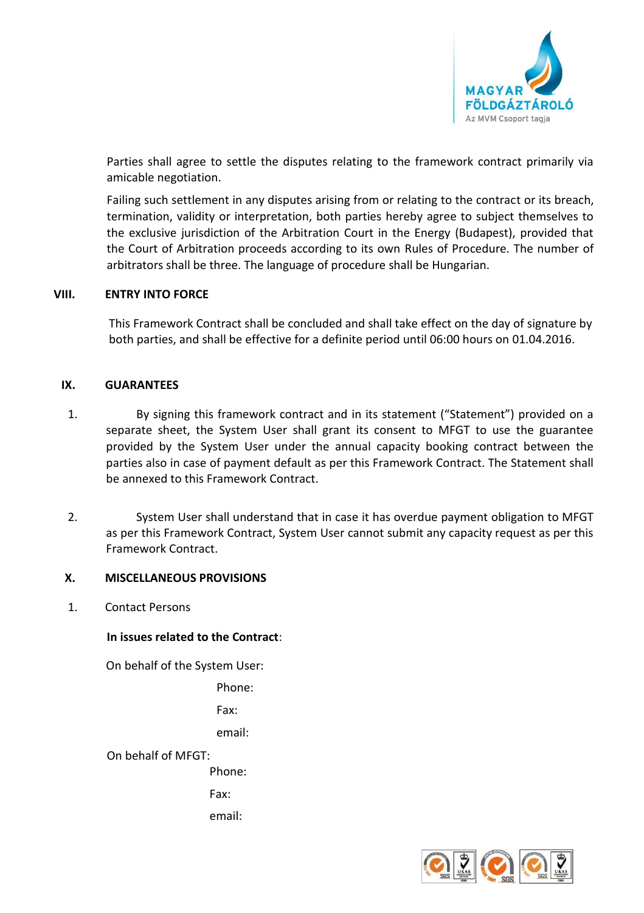

Parties shall agree to settle the disputes relating to the framework contract primarily via amicable negotiation.

Failing such settlement in any disputes arising from or relating to the contract or its breach, termination, validity or interpretation, both parties hereby agree to subject themselves to the exclusive jurisdiction of the Arbitration Court in the Energy (Budapest), provided that the Court of Arbitration proceeds according to its own Rules of Procedure. The number of arbitrators shall be three. The language of procedure shall be Hungarian.

#### **VIII. ENTRY INTO FORCE**

This Framework Contract shall be concluded and shall take effect on the day of signature by both parties, and shall be effective for a definite period until 06:00 hours on 01.04.2016.

#### **IX. GUARANTEES**

- 1. By signing this framework contract and in its statement ("Statement") provided on a separate sheet, the System User shall grant its consent to MFGT to use the guarantee provided by the System User under the annual capacity booking contract between the parties also in case of payment default as per this Framework Contract. The Statement shall be annexed to this Framework Contract.
- 2. System User shall understand that in case it has overdue payment obligation to MFGT as per this Framework Contract, System User cannot submit any capacity request as per this Framework Contract.

#### **X. MISCELLANEOUS PROVISIONS**

1. Contact Persons

#### **In issues related to the Contract**:

On behalf of the System User:

Phone:

Fax:

email:

On behalf of MFGT:

Phone:

Fax:

email: